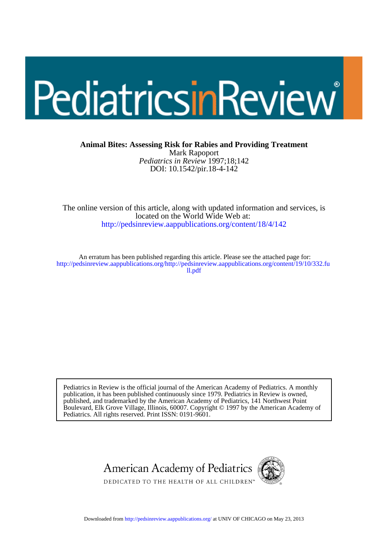

DOI: 10.1542/pir.18-4-142 *Pediatrics in Review* 1997;18;142 Mark Rapoport **Animal Bites: Assessing Risk for Rabies and Providing Treatment**

<http://pedsinreview.aappublications.org/content/18/4/142> located on the World Wide Web at: The online version of this article, along with updated information and services, is

ll.pdf http://pedsinreview.aappublications.org/http://pedsinreview.aappublications.org/content/19/10/332.fu An erratum has been published regarding this article. Please see the attached page for:

Pediatrics. All rights reserved. Print ISSN: 0191-9601. Boulevard, Elk Grove Village, Illinois, 60007. Copyright © 1997 by the American Academy of published, and trademarked by the American Academy of Pediatrics, 141 Northwest Point publication, it has been published continuously since 1979. Pediatrics in Review is owned, Pediatrics in Review is the official journal of the American Academy of Pediatrics. A monthly

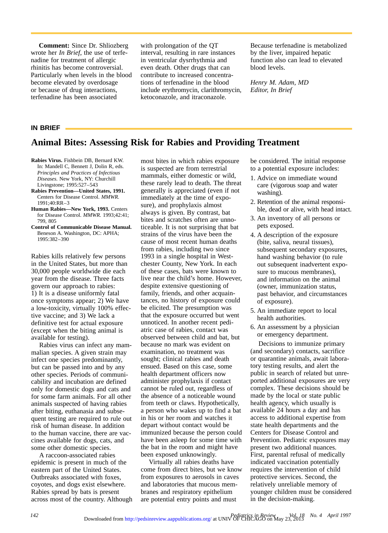**Comment:** Since Dr. Shliozberg wrote her *In Brief*, the use of terfenadine for treatment of allergic rhinitis has become controversial. Particularly when levels in the blood become elevated by overdosage or because of drug interactions, terfenadine has been associated

with prolongation of the QT interval, resulting in rare instances in ventricular dysrrhythmia and even death. Other drugs that can contribute to increased concentrations of terfenadine in the blood include erythromycin, clarithromycin, ketoconazole, and itraconazole.

Because terfenadine is metabolized by the liver, impaired hepatic function also can lead to elevated blood levels.

*Henry M. Adam, MD Editor, In Brief*

#### **IN BRIEF**

## **Animal Bites: Assessing Risk for Rabies and Providing Treatment**

- **Rabies Virus.** Fishbein DB, Bernard KW. In: Mandell C, Bennett J, Dolin R, eds. *Principles and Practices of Infectious Diseases.* New York, NY: Churchill Livingstone; 1995:527–543
- **Rabies Prevention—United States, 1991.** Centers for Disease Control. *MMWR.* 1991;40:RR–3
- **Human Rabies—New York, 1993.** Centers for Disease Control. *MMWR.* 1993;42:41; 799, 805
- **Control of Communicable Disease Manual.** Beneson A. Washington, DC: APHA; 1995:382–390

Rabies kills relatively few persons in the United States, but more than 30,000 people worldwide die each year from the disease. Three facts govern our approach to rabies: 1) It is a disease uniformly fatal once symptoms appear; 2) We have a low-toxicity, virtually 100% effective vaccine; and 3) We lack a definitive test for actual exposure (except when the biting animal is available for testing).

Rabies virus can infect any mammalian species. A given strain may infect one species predominantly, but can be passed into and by any other species. Periods of communicability and incubation are defined only for domestic dogs and cats and for some farm animals. For all other animals suspected of having rabies after biting, euthanasia and subsequent testing are required to rule out risk of human disease. In addition to the human vaccine, there are vaccines available for dogs, cats, and some other domestic species.

A raccoon-associated rabies epidemic is present in much of the eastern part of the United States. Outbreaks associated with foxes, coyotes, and dogs exist elsewhere. Rabies spread by bats is present across most of the country. Although

most bites in which rabies exposure is suspected are from terrestrial mammals, either domestic or wild, these rarely lead to death. The threat generally is appreciated (even if not immediately at the time of exposure), and prophylaxis almost always is given. By contrast, bat bites and scratches often are unnoticeable. It is not surprising that bat strains of the virus have been the cause of most recent human deaths from rabies, including two since 1993 in a single hospital in Westchester County, New York. In each of these cases, bats were known to live near the child's home. However, despite extensive questioning of family, friends, and other acquaintances, no history of exposure could be elicited. The presumption was that the exposure occurred but went unnoticed. In another recent pediatric case of rabies, contact was observed between child and bat, but because no mark was evident on examination, no treatment was sought; clinical rabies and death ensued. Based on this case, some health department officers now administer prophylaxis if contact cannot be ruled out, regardless of the absence of a noticeable wound from teeth or claws. Hypothetically, a person who wakes up to find a bat in his or her room and watches it depart without contact would be immunized because the person could have been asleep for some time with the bat in the room and might have been exposed unknowingly.

Virtually all rabies deaths have come from direct bites, but we know from exposures to aerosols in caves and laboratories that mucous membranes and respiratory epithelium are potential entry points and must

be considered. The initial response to a potential exposure includes:

- 1. Advice on immediate wound care (vigorous soap and water washing).
- 2. Retention of the animal responsible, dead or alive, with head intact.
- 3. An inventory of all persons or pets exposed.
- 4. A description of the exposure (bite, saliva, neural tissues), subsequent secondary exposures, hand washing behavior (to rule out subsequent inadvertent exposure to mucous membranes), and information on the animal (owner, immunization status, past behavior, and circumstances of exposure).
- 5. An immediate report to local health authorities.
- 6. An assessment by a physician or emergency department.

Decisions to immunize primary (and secondary) contacts, sacrifice or quarantine animals, await laboratory testing results, and alert the public in search of related but unreported additional exposures are very complex. These decisions should be made by the local or state public health agency, which usually is available 24 hours a day and has access to additional expertise from state health departments and the Centers for Disease Control and Prevention. Pediatric exposures may present two additional nuances. First, parental refusal of medically indicated vaccination potentially requires the intervention of child protective services. Second, the relatively unreliable memory of younger children must be considered in the decision-making.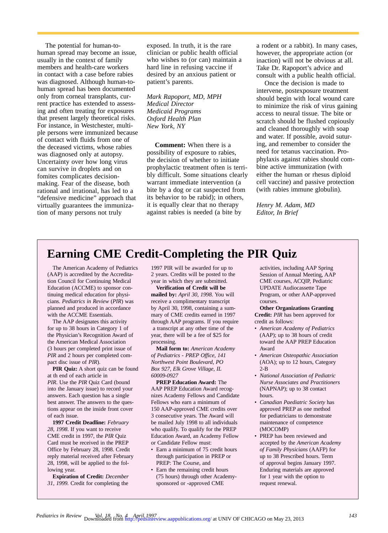The potential for human-tohuman spread may become an issue, usually in the context of family members and health-care workers in contact with a case before rabies was diagnosed. Although human-tohuman spread has been documented only from corneal transplants, current practice has extended to assessing and often treating for exposures that present largely theoretical risks. For instance, in Westchester, multiple persons were immunized because of contact with fluids from one of the deceased victims, whose rabies was diagnosed only at autopsy. Uncertainty over how long virus can survive in droplets and on fomites complicates decisionmaking. Fear of the disease, both rational and irrational, has led to a "defensive medicine" approach that virtually guarantees the immunization of many persons not truly

exposed. In truth, it is the rare clinician or public health official who wishes to (or can) maintain a hard line in refusing vaccine if desired by an anxious patient or patient's parents.

*Mark Rapoport, MD, MPH Medical Director Medicaid Programs Oxford Health Plan New York, NY*

**Comment:** When there is a possibility of exposure to rabies, the decision of whether to initiate prophylactic treatment often is terribly difficult. Some situations clearly warrant immediate intervention (a bite by a dog or cat suspected from its behavior to be rabid); in others, it is equally clear that no therapy against rabies is needed (a bite by

a rodent or a rabbit). In many cases, however, the appropriate action (or inaction) will not be obvious at all. Take Dr. Rapoport's advice and consult with a public health official.

Once the decision is made to intervene, postexposure treatment should begin with local wound care to minimize the risk of virus gaining access to neural tissue. The bite or scratch should be flushed copiously and cleaned thoroughly with soap and water. If possible, avoid suturing, and remember to consider the need for tetanus vaccination. Prophylaxis against rabies should combine active immunization (with either the human or rhesus diploid cell vaccine) and passive protection (with rabies immune globulin).

*Henry M. Adam, MD Editor, In Brief*

# **Earning CME Credit-Completing the PIR Quiz**

The American Academy of Pediatrics (AAP) is accredited by the Accreditation Council for Continuing Medical Education (ACCME) to sponsor continuing medical education for physicians. *Pediatrics in Review* (*PIR*) was planned and produced in accordance with the ACCME Essentials.

The AAP designates this activity for up to 38 hours in Category 1 of the Physician's Recognition Award of the American Medical Association (3 hours per completed print issue of *PIR* and 2 hours per completed compact disc issue of *PIR*).

**PIR Quiz:** A short quiz can be found at th end of each article in *PIR*. Use the *PIR* Quiz Card (bound into the January issue) to record your answers. Each question has a single best answer. The answers to the questions appear on the inside front cover of each issue.

**1997 Credit Deadline:** *February 28, 1998*. If you want to receive CME credit in 1997, the *PIR* Quiz Card must be received in the PREP Office by February 28, 1998. Credit reply material received after February 28, 1998, will be applied to the following year.

**Expiration of Credit:** *December 31, 1999.* Credit for completing the

1997 PIR will be awarded for up to 2 years. Credits will be posted to the year in which they are submitted. **Verification of Credit will be** 

**mailed by:** *April 30, 1998.* You will receive a complimentary transcript by April 30, 1998, containing a summary of CME credits earned in 1997 through AAP programs. If you require a transcript at any other time of the year, there will be a fee of \$25 for processing.

**Mail form to:** *American Academy of Pediatrics - PREP Office, 141 Northwest Point Boulevard, PO Box 927, Elk Grove Village, IL 60009-0927*

**PREP Education Award:** The AAP PREP Education Award recognizes Academy Fellows and Candidate Fellows who earn a minimum of 150 AAP-approved CME credits over 3 consecutive years. The Award will be mailed July 1998 to all individuals who qualify. To qualify for the PREP Education Award, an Academy Fellow or Candidate Fellow must:

- Earn a minimum of 75 credit hours through participation in PREP or PREP: The Course, and
- Earn the remaining credit hours (75 hours) through other Academysponsored or -approved CME

activities, including AAP Spring Session of Annual Meeting, AAP CME courses, ACQIP, Pediatric UPDATE Audiocassette Tape Program, or other AAP-approved courses.

**Other Organizations Granting Credit:** *PIR* has been approved for credit as follows:

- *American Academy of Pediatrics* (AAP); up to 38 hours of credit toward the AAP PREP Education Award
- *American Osteopathic Association* (AOA); up to 12 hours, Category  $2-R$
- *National Association of Pediatric Nurse Associates and Practitioners* (NAPNAP); up to 38 contact hours.
- *Canadian Paediatric Society* has approved PREP as one method for pediatricians to demonstrate maintenance of competence (MOCOMP)
- PREP has been reviewed and accepted by the *American Academy of Family Physicians* (AAFP) for up to 38 Prescribed hours. Term of approval begins January 1997. Enduring materials are approved for 1 year with the option to request renewal.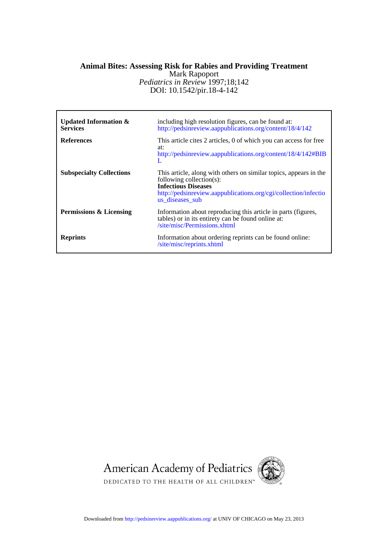## DOI: 10.1542/pir.18-4-142 *Pediatrics in Review* 1997;18;142 Mark Rapoport **Animal Bites: Assessing Risk for Rabies and Providing Treatment**

| <b>Updated Information &amp;</b><br><b>Services</b> | including high resolution figures, can be found at:<br>http://pedsinreview.aappublications.org/content/18/4/142                                                                                                       |
|-----------------------------------------------------|-----------------------------------------------------------------------------------------------------------------------------------------------------------------------------------------------------------------------|
| <b>References</b>                                   | This article cites 2 articles, 0 of which you can access for free<br>at:<br>http://pedsinreview.aappublications.org/content/18/4/142#BIB<br>L                                                                         |
| <b>Subspecialty Collections</b>                     | This article, along with others on similar topics, appears in the<br>following collection( $s$ ):<br><b>Infectious Diseases</b><br>http://pedsinreview.aappublications.org/cgi/collection/infectio<br>us diseases sub |
| Permissions & Licensing                             | Information about reproducing this article in parts (figures,<br>tables) or in its entirety can be found online at:<br>/site/misc/Permissions.xhtml                                                                   |
| <b>Reprints</b>                                     | Information about ordering reprints can be found online:<br>/site/misc/reprints.xhtml                                                                                                                                 |